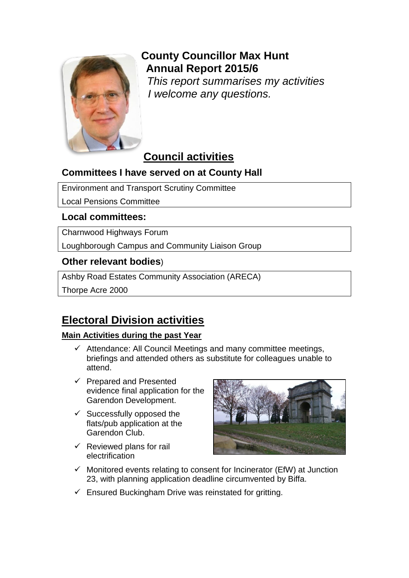

# **County Councillor Max Hunt Annual Report 2015/6**

*This report summarises my activities I welcome any questions.*

# **Council activities**

# **Committees I have served on at County Hall**

Environment and Transport Scrutiny Committee

Local Pensions Committee

# **Local committees:**

Charnwood Highways Forum

Loughborough Campus and Community Liaison Group

## **Other relevant bodies**)

Ashby Road Estates Community Association (ARECA)

Thorpe Acre 2000

# **Electoral Division activities**

## **Main Activities during the past Year**

- $\checkmark$  Attendance: All Council Meetings and many committee meetings, briefings and attended others as substitute for colleagues unable to attend.
- $\checkmark$  Prepared and Presented evidence final application for the Garendon Development.
- $\checkmark$  Successfully opposed the flats/pub application at the Garendon Club.
- $\checkmark$  Reviewed plans for rail electrification



- $\checkmark$  Monitored events relating to consent for Incinerator (EfW) at Junction 23, with planning application deadline circumvented by Biffa.
- $\checkmark$  Ensured Buckingham Drive was reinstated for gritting.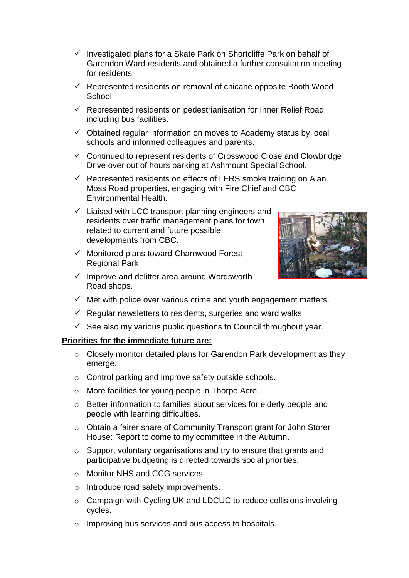- $\checkmark$  Investigated plans for a Skate Park on Shortcliffe Park on behalf of Garendon Ward residents and obtained a further consultation meeting for residents.
- $\checkmark$  Represented residents on removal of chicane opposite Booth Wood **School**
- $\checkmark$  Represented residents on pedestrianisation for Inner Relief Road including bus facilities.
- $\checkmark$  Obtained regular information on moves to Academy status by local schools and informed colleagues and parents.
- $\checkmark$  Continued to represent residents of Crosswood Close and Clowbridge Drive over out of hours parking at Ashmount Special School.
- $\checkmark$  Represented residents on effects of LFRS smoke training on Alan Moss Road properties, engaging with Fire Chief and CBC Environmental Health.
- $\checkmark$  Liaised with LCC transport planning engineers and residents over traffic management plans for town related to current and future possible developments from CBC.
- $\checkmark$  Monitored plans toward Charnwood Forest Regional Park
- $\checkmark$  Improve and delitter area around Wordsworth Road shops.



- $\checkmark$  Met with police over various crime and youth engagement matters.
- $\checkmark$  Regular newsletters to residents, surgeries and ward walks.
- $\checkmark$  See also my various public questions to Council throughout year.

#### **Priorities for the immediate future are:**

- o Closely monitor detailed plans for Garendon Park development as they emerge.
- o Control parking and improve safety outside schools.
- o More facilities for young people in Thorpe Acre.
- o Better information to families about services for elderly people and people with learning difficulties.
- o Obtain a fairer share of Community Transport grant for John Storer House: Report to come to my committee in the Autumn.
- o Support voluntary organisations and try to ensure that grants and participative budgeting is directed towards social priorities.
- o Monitor NHS and CCG services.
- o Introduce road safety improvements.
- o Campaign with Cycling UK and LDCUC to reduce collisions involving cycles.
- o Improving bus services and bus access to hospitals.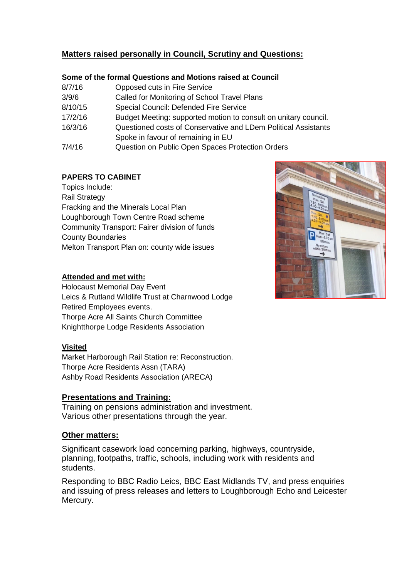## **Matters raised personally in Council, Scrutiny and Questions:**

#### **Some of the formal Questions and Motions raised at Council**

| 8/7/16  | Opposed cuts in Fire Service                                    |
|---------|-----------------------------------------------------------------|
| 3/9/6   | Called for Monitoring of School Travel Plans                    |
| 8/10/15 | Special Council: Defended Fire Service                          |
| 17/2/16 | Budget Meeting: supported motion to consult on unitary council. |
| 16/3/16 | Questioned costs of Conservative and LDem Political Assistants  |
|         | Spoke in favour of remaining in EU                              |
| 7/4/16  | Question on Public Open Spaces Protection Orders                |

## **PAPERS TO CABINET**

Topics Include: Rail Strategy Fracking and the Minerals Local Plan Loughborough Town Centre Road scheme Community Transport: Fairer division of funds County Boundaries Melton Transport Plan on: county wide issues

### **Attended and met with:**

Holocaust Memorial Day Event Leics & Rutland Wildlife Trust at Charnwood Lodge Retired Employees events. Thorpe Acre All Saints Church Committee Knightthorpe Lodge Residents Association

### **Visited**

Market Harborough Rail Station re: Reconstruction. Thorpe Acre Residents Assn (TARA) Ashby Road Residents Association (ARECA)

## **Presentations and Training:**

Training on pensions administration and investment. Various other presentations through the year.

### **Other matters:**

Significant casework load concerning parking, highways, countryside, planning, footpaths, traffic, schools, including work with residents and students.

Responding to BBC Radio Leics, BBC East Midlands TV, and press enquiries and issuing of press releases and letters to Loughborough Echo and Leicester Mercury.